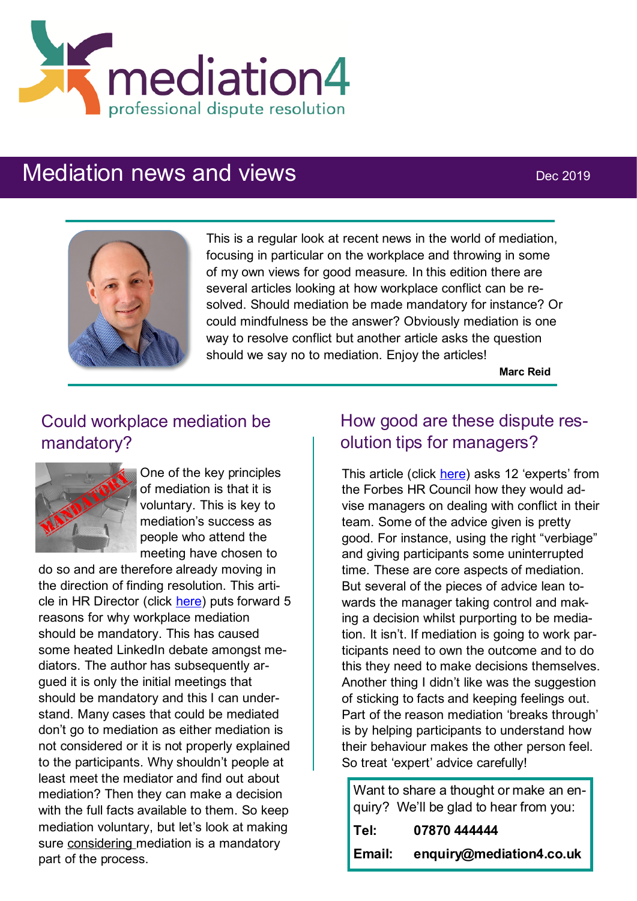

# Mediation news and views Dec 2019



This is a regular look at recent news in the world of mediation, focusing in particular on the workplace and throwing in some of my own views for good measure. In this edition there are several articles looking at how workplace conflict can be resolved. Should mediation be made mandatory for instance? Or could mindfulness be the answer? Obviously mediation is one way to resolve conflict but another article asks the question should we say no to mediation. Enjoy the articles!

**Marc Reid**

## Could workplace mediation be mandatory?



One of the key principles of mediation is that it is voluntary. This is key to mediation's success as people who attend the meeting have chosen to

do so and are therefore already moving in the direction of finding resolution. This article in HR Director (click [here\)](https://www.thehrdirector.com/five-reasons-why-mediation-needs-to-be-mandatory/) puts forward 5 reasons for why workplace mediation should be mandatory. This has caused some heated LinkedIn debate amongst mediators. The author has subsequently argued it is only the initial meetings that should be mandatory and this I can understand. Many cases that could be mediated don't go to mediation as either mediation is not considered or it is not properly explained to the participants. Why shouldn't people at least meet the mediator and find out about mediation? Then they can make a decision with the full facts available to them. So keep mediation voluntary, but let's look at making sure considering mediation is a mandatory part of the process.

#### How good are these dispute resolution tips for managers?

This article (click [here\)](https://www.forbes.com/sites/forbeshumanresourcescouncil/2019/11/05/12-dispute-mediation-techniques-for-managers/#4958e793e86e) asks 12 'experts' from the Forbes HR Council how they would advise managers on dealing with conflict in their team. Some of the advice given is pretty good. For instance, using the right "verbiage" and giving participants some uninterrupted time. These are core aspects of mediation. But several of the pieces of advice lean towards the manager taking control and making a decision whilst purporting to be mediation. It isn't. If mediation is going to work participants need to own the outcome and to do this they need to make decisions themselves. Another thing I didn't like was the suggestion of sticking to facts and keeping feelings out. Part of the reason mediation 'breaks through' is by helping participants to understand how their behaviour makes the other person feel. So treat 'expert' advice carefully!

Want to share a thought or make an enquiry? We'll be glad to hear from you: **Tel: 07870 444444**

**Email: enquiry@mediation4.co.uk**